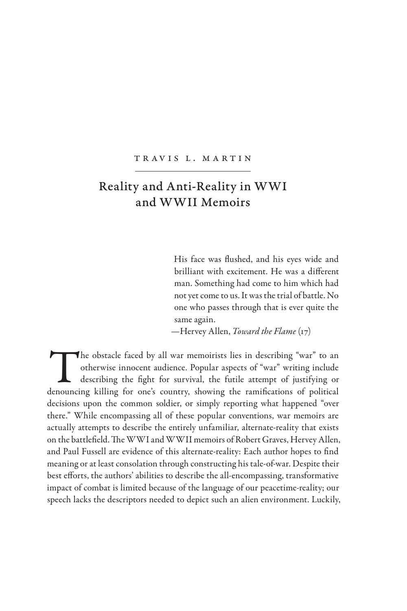## Tr av is L. M artin

## Reality and Anti-Reality in WWI and WWII Memoirs

His face was flushed, and his eyes wide and brilliant with excitement. He was a different man. Something had come to him which had not yet come to us. It was the trial of battle. No one who passes through that is ever quite the same again.

—Hervey Allen, *Toward the Flame* (17)

The obstacle faced by all war memoirists lies in describing "war" to an otherwise innocent audience. Popular aspects of "war" writing include describing the fight for survival, the futile attempt of justifying or denouncing killing for one's country, showing the ramifications of political decisions upon the common soldier, or simply reporting what happened "over there." While encompassing all of these popular conventions, war memoirs are actually attempts to describe the entirely unfamiliar, alternate-reality that exists on the battlefield. The WWI and WWII memoirs of Robert Graves, Hervey Allen, and Paul Fussell are evidence of this alternate-reality: Each author hopes to find meaning or at least consolation through constructing his tale-of-war. Despite their best efforts, the authors' abilities to describe the all-encompassing, transformative impact of combat is limited because of the language of our peacetime-reality; our speech lacks the descriptors needed to depict such an alien environment. Luckily,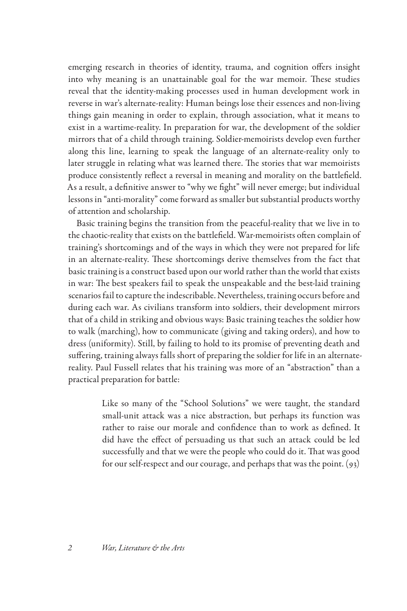emerging research in theories of identity, trauma, and cognition offers insight into why meaning is an unattainable goal for the war memoir. These studies reveal that the identity-making processes used in human development work in reverse in war's alternate-reality: Human beings lose their essences and non-living things gain meaning in order to explain, through association, what it means to exist in a wartime-reality. In preparation for war, the development of the soldier mirrors that of a child through training. Soldier-memoirists develop even further along this line, learning to speak the language of an alternate-reality only to later struggle in relating what was learned there. The stories that war memoirists produce consistently reflect a reversal in meaning and morality on the battlefield. As a result, a definitive answer to "why we fight" will never emerge; but individual lessons in "anti-morality" come forward as smaller but substantial products worthy of attention and scholarship.

Basic training begins the transition from the peaceful-reality that we live in to the chaotic-reality that exists on the battlefield. War-memoirists often complain of training's shortcomings and of the ways in which they were not prepared for life in an alternate-reality. These shortcomings derive themselves from the fact that basic training is a construct based upon our world rather than the world that exists in war: The best speakers fail to speak the unspeakable and the best-laid training scenarios fail to capture the indescribable. Nevertheless, training occurs before and during each war. As civilians transform into soldiers, their development mirrors that of a child in striking and obvious ways: Basic training teaches the soldier how to walk (marching), how to communicate (giving and taking orders), and how to dress (uniformity). Still, by failing to hold to its promise of preventing death and suffering, training always falls short of preparing the soldier for life in an alternatereality. Paul Fussell relates that his training was more of an "abstraction" than a practical preparation for battle:

> Like so many of the "School Solutions" we were taught, the standard small-unit attack was a nice abstraction, but perhaps its function was rather to raise our morale and confidence than to work as defined. It did have the effect of persuading us that such an attack could be led successfully and that we were the people who could do it. That was good for our self-respect and our courage, and perhaps that was the point. (93)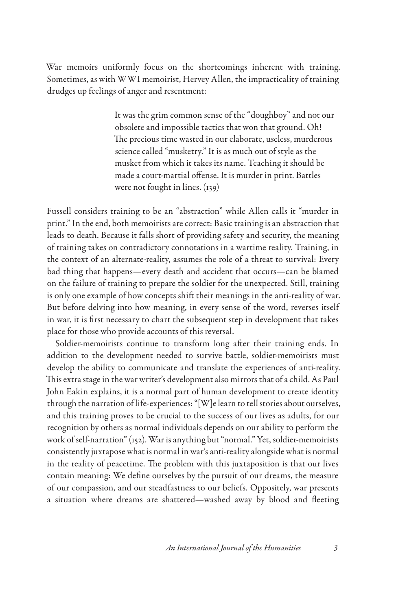War memoirs uniformly focus on the shortcomings inherent with training. Sometimes, as with WWI memoirist, Hervey Allen, the impracticality of training drudges up feelings of anger and resentment:

> It was the grim common sense of the "doughboy" and not our obsolete and impossible tactics that won that ground. Oh! The precious time wasted in our elaborate, useless, murderous science called "musketry." It is as much out of style as the musket from which it takes its name. Teaching it should be made a court-martial offense. It is murder in print. Battles were not fought in lines. (139)

Fussell considers training to be an "abstraction" while Allen calls it "murder in print." In the end, both memoirists are correct: Basic training is an abstraction that leads to death. Because it falls short of providing safety and security, the meaning of training takes on contradictory connotations in a wartime reality. Training, in the context of an alternate-reality, assumes the role of a threat to survival: Every bad thing that happens—every death and accident that occurs—can be blamed on the failure of training to prepare the soldier for the unexpected. Still, training is only one example of how concepts shift their meanings in the anti-reality of war. But before delving into how meaning, in every sense of the word, reverses itself in war, it is first necessary to chart the subsequent step in development that takes place for those who provide accounts of this reversal.

Soldier-memoirists continue to transform long after their training ends. In addition to the development needed to survive battle, soldier-memoirists must develop the ability to communicate and translate the experiences of anti-reality. This extra stage in the war writer's development also mirrors that of a child. As Paul John Eakin explains, it is a normal part of human development to create identity through the narration of life-experiences: "[W]e learn to tell stories about ourselves, and this training proves to be crucial to the success of our lives as adults, for our recognition by others as normal individuals depends on our ability to perform the work of self-narration" (152). War is anything but "normal." Yet, soldier-memoirists consistently juxtapose what is normal in war's anti-reality alongside what is normal in the reality of peacetime. The problem with this juxtaposition is that our lives contain meaning: We define ourselves by the pursuit of our dreams, the measure of our compassion, and our steadfastness to our beliefs. Oppositely, war presents a situation where dreams are shattered—washed away by blood and fleeting

*An International Journal of the Humanities 3*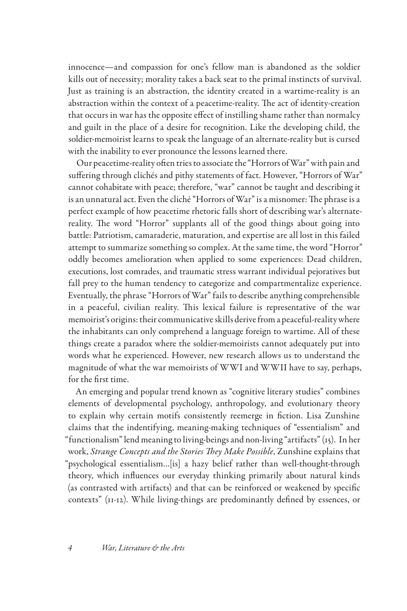innocence—and compassion for one's fellow man is abandoned as the soldier kills out of necessity; morality takes a back seat to the primal instincts of survival. Just as training is an abstraction, the identity created in a wartime-reality is an abstraction within the context of a peacetime-reality. The act of identity-creation that occurs in war has the opposite effect of instilling shame rather than normalcy and guilt in the place of a desire for recognition. Like the developing child, the soldier-memoirist learns to speak the language of an alternate-reality but is cursed with the inability to ever pronounce the lessons learned there.

Our peacetime-reality often tries to associate the "Horrors of War" with pain and suffering through clichés and pithy statements of fact. However, "Horrors of War" cannot cohabitate with peace; therefore, "war" cannot be taught and describing it is an unnatural act. Even the cliché "Horrors of War" is a misnomer: The phrase is a perfect example of how peacetime rhetoric falls short of describing war's alternatereality. The word "Horror" supplants all of the good things about going into battle: Patriotism, camaraderie, maturation, and expertise are all lost in this failed attempt to summarize something so complex. At the same time, the word "Horror" oddly becomes amelioration when applied to some experiences: Dead children, executions, lost comrades, and traumatic stress warrant individual pejoratives but fall prey to the human tendency to categorize and compartmentalize experience. Eventually, the phrase "Horrors of War" fails to describe anything comprehensible in a peaceful, civilian reality. This lexical failure is representative of the war memoirist's origins: their communicative skills derive from a peaceful-reality where the inhabitants can only comprehend a language foreign to wartime. All of these things create a paradox where the soldier-memoirists cannot adequately put into words what he experienced. However, new research allows us to understand the magnitude of what the war memoirists of WWI and WWII have to say, perhaps, for the first time.

An emerging and popular trend known as "cognitive literary studies" combines elements of developmental psychology, anthropology, and evolutionary theory to explain why certain motifs consistently reemerge in fiction. Lisa Zunshine claims that the indentifying, meaning-making techniques of "essentialism" and "functionalism" lend meaning to living-beings and non-living "artifacts" (15). In her work, *Strange Concepts and the Stories They Make Possible*, Zunshine explains that "psychological essentialism…[is] a hazy belief rather than well-thought-through theory, which influences our everyday thinking primarily about natural kinds (as contrasted with artifacts) and that can be reinforced or weakened by specific contexts" (11-12). While living-things are predominantly defined by essences, or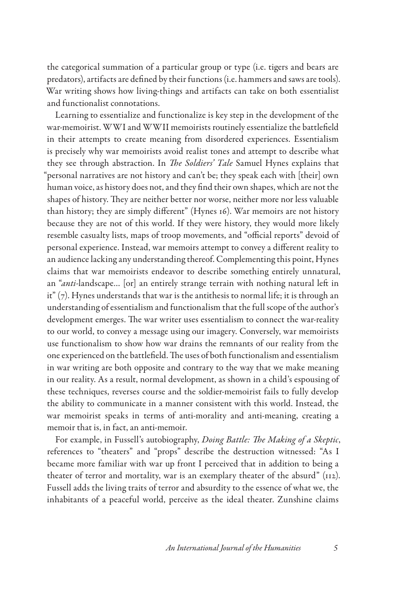the categorical summation of a particular group or type (i.e. tigers and bears are predators), artifacts are defined by their functions (i.e. hammers and saws are tools). War writing shows how living-things and artifacts can take on both essentialist and functionalist connotations.

Learning to essentialize and functionalize is key step in the development of the war-memoirist. WWI and WWII memoirists routinely essentialize the battlefield in their attempts to create meaning from disordered experiences. Essentialism is precisely why war memoirists avoid realist tones and attempt to describe what they see through abstraction. In *The Soldiers' Tale* Samuel Hynes explains that "personal narratives are not history and can't be; they speak each with [their] own human voice, as history does not, and they find their own shapes, which are not the shapes of history. They are neither better nor worse, neither more nor less valuable than history; they are simply different" (Hynes 16). War memoirs are not history because they are not of this world. If they were history, they would more likely resemble casualty lists, maps of troop movements, and "official reports" devoid of personal experience. Instead, war memoirs attempt to convey a different reality to an audience lacking any understanding thereof. Complementing this point, Hynes claims that war memoirists endeavor to describe something entirely unnatural, an "*anti*-landscape… [or] an entirely strange terrain with nothing natural left in it"  $(7)$ . Hynes understands that war is the antithesis to normal life; it is through an understanding of essentialism and functionalism that the full scope of the author's development emerges. The war writer uses essentialism to connect the war-reality to our world, to convey a message using our imagery. Conversely, war memoirists use functionalism to show how war drains the remnants of our reality from the one experienced on the battlefield. The uses of both functionalism and essentialism in war writing are both opposite and contrary to the way that we make meaning in our reality. As a result, normal development, as shown in a child's espousing of these techniques, reverses course and the soldier-memoirist fails to fully develop the ability to communicate in a manner consistent with this world. Instead, the war memoirist speaks in terms of anti-morality and anti-meaning, creating a memoir that is, in fact, an anti-memoir.

For example, in Fussell's autobiography, *Doing Battle: The Making of a Skeptic*, references to "theaters" and "props" describe the destruction witnessed: "As I became more familiar with war up front I perceived that in addition to being a theater of terror and mortality, war is an exemplary theater of the absurd" (112). Fussell adds the living traits of terror and absurdity to the essence of what we, the inhabitants of a peaceful world, perceive as the ideal theater. Zunshine claims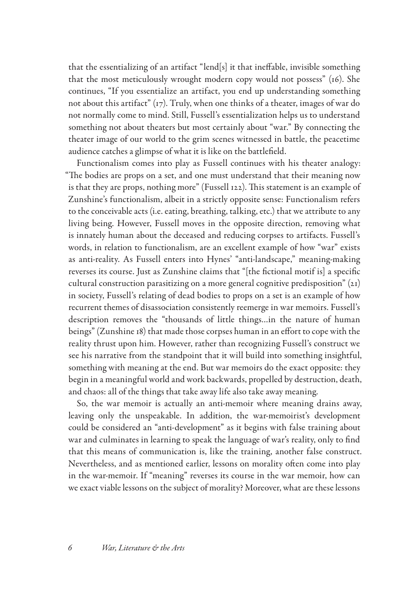that the essentializing of an artifact "lend[s] it that ineffable, invisible something that the most meticulously wrought modern copy would not possess" (16). She continues, "If you essentialize an artifact, you end up understanding something not about this artifact"  $(r_7)$ . Truly, when one thinks of a theater, images of war do not normally come to mind. Still, Fussell's essentialization helps us to understand something not about theaters but most certainly about "war." By connecting the theater image of our world to the grim scenes witnessed in battle, the peacetime audience catches a glimpse of what it is like on the battlefield.

Functionalism comes into play as Fussell continues with his theater analogy: "The bodies are props on a set, and one must understand that their meaning now is that they are props, nothing more" (Fussell 122). This statement is an example of Zunshine's functionalism, albeit in a strictly opposite sense: Functionalism refers to the conceivable acts (i.e. eating, breathing, talking, etc.) that we attribute to any living being. However, Fussell moves in the opposite direction, removing what is innately human about the deceased and reducing corpses to artifacts. Fussell's words, in relation to functionalism, are an excellent example of how "war" exists as anti-reality. As Fussell enters into Hynes' "anti-landscape," meaning-making reverses its course. Just as Zunshine claims that "[the fictional motif is] a specific cultural construction parasitizing on a more general cognitive predisposition" (21) in society, Fussell's relating of dead bodies to props on a set is an example of how recurrent themes of disassociation consistently reemerge in war memoirs. Fussell's description removes the "thousands of little things…in the nature of human beings" (Zunshine 18) that made those corpses human in an effort to cope with the reality thrust upon him. However, rather than recognizing Fussell's construct we see his narrative from the standpoint that it will build into something insightful, something with meaning at the end. But war memoirs do the exact opposite: they begin in a meaningful world and work backwards, propelled by destruction, death, and chaos: all of the things that take away life also take away meaning.

So, the war memoir is actually an anti-memoir where meaning drains away, leaving only the unspeakable. In addition, the war-memoirist's development could be considered an "anti-development" as it begins with false training about war and culminates in learning to speak the language of war's reality, only to find that this means of communication is, like the training, another false construct. Nevertheless, and as mentioned earlier, lessons on morality often come into play in the war-memoir. If "meaning" reverses its course in the war memoir, how can we exact viable lessons on the subject of morality? Moreover, what are these lessons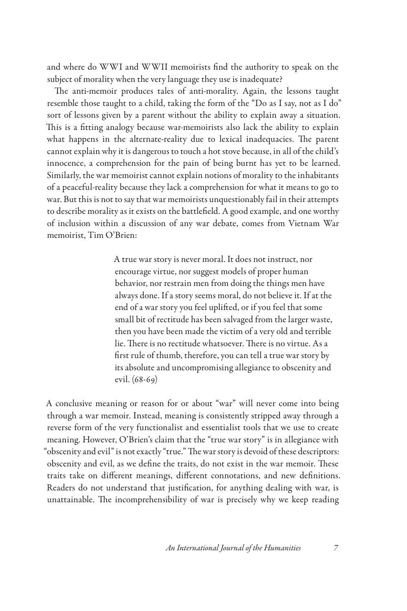and where do WWI and WWII memoirists find the authority to speak on the subject of morality when the very language they use is inadequate?

The anti-memoir produces tales of anti-morality. Again, the lessons taught resemble those taught to a child, taking the form of the "Do as I say, not as I do" sort of lessons given by a parent without the ability to explain away a situation. This is a fitting analogy because war-memoirists also lack the ability to explain what happens in the alternate-reality due to lexical inadequacies. The parent cannot explain why it is dangerous to touch a hot stove because, in all of the child's innocence, a comprehension for the pain of being burnt has yet to be learned. Similarly, the war memoirist cannot explain notions of morality to the inhabitants of a peaceful-reality because they lack a comprehension for what it means to go to war. But this is not to say that war memoirists unquestionably fail in their attempts to describe morality as it exists on the battlefield. A good example, and one worthy of inclusion within a discussion of any war debate, comes from Vietnam War memoirist, Tim O'Brien:

> A true war story is never moral. It does not instruct, nor encourage virtue, nor suggest models of proper human behavior, nor restrain men from doing the things men have always done. If a story seems moral, do not believe it. If at the end of a war story you feel uplifted, or if you feel that some small bit of rectitude has been salvaged from the larger waste, then you have been made the victim of a very old and terrible lie. There is no rectitude whatsoever. There is no virtue. As a first rule of thumb, therefore, you can tell a true war story by its absolute and uncompromising allegiance to obscenity and evil. (68-69)

A conclusive meaning or reason for or about "war" will never come into being through a war memoir. Instead, meaning is consistently stripped away through a reverse form of the very functionalist and essentialist tools that we use to create meaning. However, O'Brien's claim that the "true war story" is in allegiance with "obscenity and evil" is not exactly "true." The war story is devoid of these descriptors: obscenity and evil, as we define the traits, do not exist in the war memoir. These traits take on different meanings, different connotations, and new definitions. Readers do not understand that justification, for anything dealing with war, is unattainable. The incomprehensibility of war is precisely why we keep reading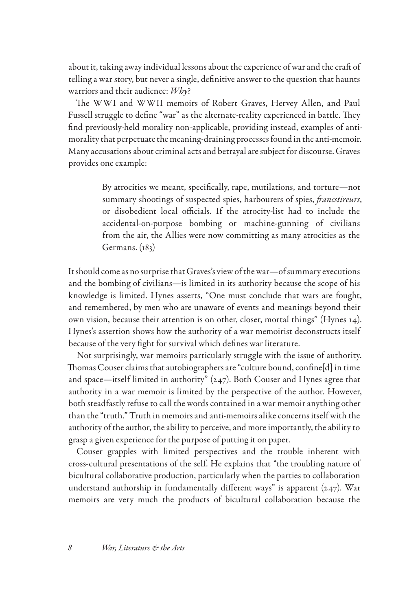about it, taking away individual lessons about the experience of war and the craft of telling a war story, but never a single, definitive answer to the question that haunts warriors and their audience: *Why*?

The WWI and WWII memoirs of Robert Graves, Hervey Allen, and Paul Fussell struggle to define "war" as the alternate-reality experienced in battle. They find previously-held morality non-applicable, providing instead, examples of antimorality that perpetuate the meaning-draining processes found in the anti-memoir. Many accusations about criminal acts and betrayal are subject for discourse. Graves provides one example:

> By atrocities we meant, specifically, rape, mutilations, and torture—not summary shootings of suspected spies, harbourers of spies, *francstireurs*, or disobedient local officials. If the atrocity-list had to include the accidental-on-purpose bombing or machine-gunning of civilians from the air, the Allies were now committing as many atrocities as the Germans. (183)

It should come as no surprise that Graves's view of the war—of summary executions and the bombing of civilians—is limited in its authority because the scope of his knowledge is limited. Hynes asserts, "One must conclude that wars are fought, and remembered, by men who are unaware of events and meanings beyond their own vision, because their attention is on other, closer, mortal things" (Hynes 14). Hynes's assertion shows how the authority of a war memoirist deconstructs itself because of the very fight for survival which defines war literature.

Not surprisingly, war memoirs particularly struggle with the issue of authority. Thomas Couser claims that autobiographers are "culture bound, confine[d] in time and space—itself limited in authority"  $(247)$ . Both Couser and Hynes agree that authority in a war memoir is limited by the perspective of the author. However, both steadfastly refuse to call the words contained in a war memoir anything other than the "truth." Truth in memoirs and anti-memoirs alike concerns itself with the authority of the author, the ability to perceive, and more importantly, the ability to grasp a given experience for the purpose of putting it on paper.

Couser grapples with limited perspectives and the trouble inherent with cross-cultural presentations of the self. He explains that "the troubling nature of bicultural collaborative production, particularly when the parties to collaboration understand authorship in fundamentally different ways" is apparent (247). War memoirs are very much the products of bicultural collaboration because the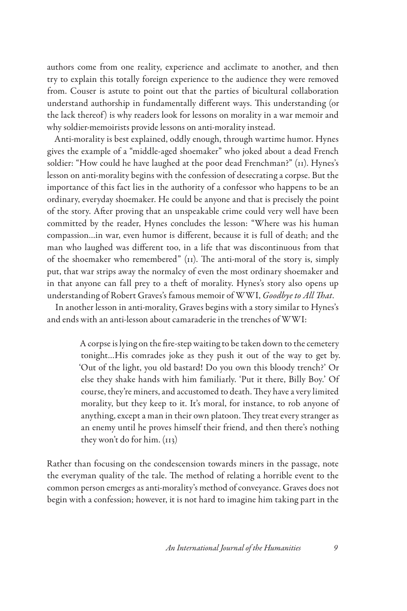authors come from one reality, experience and acclimate to another, and then try to explain this totally foreign experience to the audience they were removed from. Couser is astute to point out that the parties of bicultural collaboration understand authorship in fundamentally different ways. This understanding (or the lack thereof) is why readers look for lessons on morality in a war memoir and why soldier-memoirists provide lessons on anti-morality instead.

Anti-morality is best explained, oddly enough, through wartime humor. Hynes gives the example of a "middle-aged shoemaker" who joked about a dead French soldier: "How could he have laughed at the poor dead Frenchman?" (11). Hynes's lesson on anti-morality begins with the confession of desecrating a corpse. But the importance of this fact lies in the authority of a confessor who happens to be an ordinary, everyday shoemaker. He could be anyone and that is precisely the point of the story. After proving that an unspeakable crime could very well have been committed by the reader, Hynes concludes the lesson: "Where was his human compassion…in war, even humor is different, because it is full of death; and the man who laughed was different too, in a life that was discontinuous from that of the shoemaker who remembered" (11). The anti-moral of the story is, simply put, that war strips away the normalcy of even the most ordinary shoemaker and in that anyone can fall prey to a theft of morality. Hynes's story also opens up understanding of Robert Graves's famous memoir of WWI, *Goodbye to All That*.

In another lesson in anti-morality, Graves begins with a story similar to Hynes's and ends with an anti-lesson about camaraderie in the trenches of WWI:

> A corpse is lying on the fire-step waiting to be taken down to the cemetery tonight…His comrades joke as they push it out of the way to get by. 'Out of the light, you old bastard! Do you own this bloody trench?' Or else they shake hands with him familiarly. 'Put it there, Billy Boy.' Of course, they're miners, and accustomed to death. They have a very limited morality, but they keep to it. It's moral, for instance, to rob anyone of anything, except a man in their own platoon. They treat every stranger as an enemy until he proves himself their friend, and then there's nothing they won't do for him. (113)

Rather than focusing on the condescension towards miners in the passage, note the everyman quality of the tale. The method of relating a horrible event to the common person emerges as anti-morality's method of conveyance. Graves does not begin with a confession; however, it is not hard to imagine him taking part in the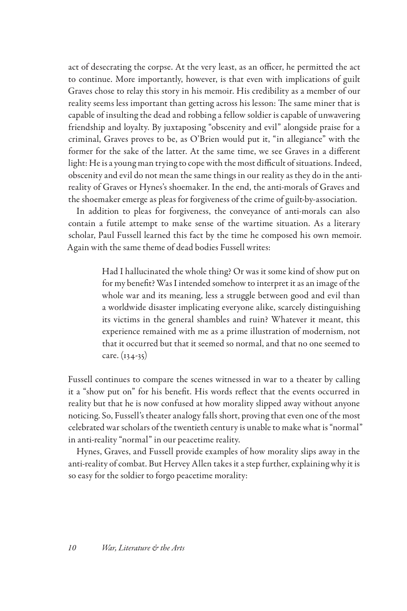act of desecrating the corpse. At the very least, as an officer, he permitted the act to continue. More importantly, however, is that even with implications of guilt Graves chose to relay this story in his memoir. His credibility as a member of our reality seems less important than getting across his lesson: The same miner that is capable of insulting the dead and robbing a fellow soldier is capable of unwavering friendship and loyalty. By juxtaposing "obscenity and evil" alongside praise for a criminal, Graves proves to be, as O'Brien would put it, "in allegiance" with the former for the sake of the latter. At the same time, we see Graves in a different light: He is a young man trying to cope with the most difficult of situations. Indeed, obscenity and evil do not mean the same things in our reality as they do in the antireality of Graves or Hynes's shoemaker. In the end, the anti-morals of Graves and the shoemaker emerge as pleas for forgiveness of the crime of guilt-by-association.

In addition to pleas for forgiveness, the conveyance of anti-morals can also contain a futile attempt to make sense of the wartime situation. As a literary scholar, Paul Fussell learned this fact by the time he composed his own memoir. Again with the same theme of dead bodies Fussell writes:

> Had I hallucinated the whole thing? Or was it some kind of show put on for my benefit? Was I intended somehow to interpret it as an image of the whole war and its meaning, less a struggle between good and evil than a worldwide disaster implicating everyone alike, scarcely distinguishing its victims in the general shambles and ruin? Whatever it meant, this experience remained with me as a prime illustration of modernism, not that it occurred but that it seemed so normal, and that no one seemed to care. (134-35)

Fussell continues to compare the scenes witnessed in war to a theater by calling it a "show put on" for his benefit. His words reflect that the events occurred in reality but that he is now confused at how morality slipped away without anyone noticing. So, Fussell's theater analogy falls short, proving that even one of the most celebrated war scholars of the twentieth century is unable to make what is "normal" in anti-reality "normal" in our peacetime reality.

Hynes, Graves, and Fussell provide examples of how morality slips away in the anti-reality of combat. But Hervey Allen takes it a step further, explaining why it is so easy for the soldier to forgo peacetime morality: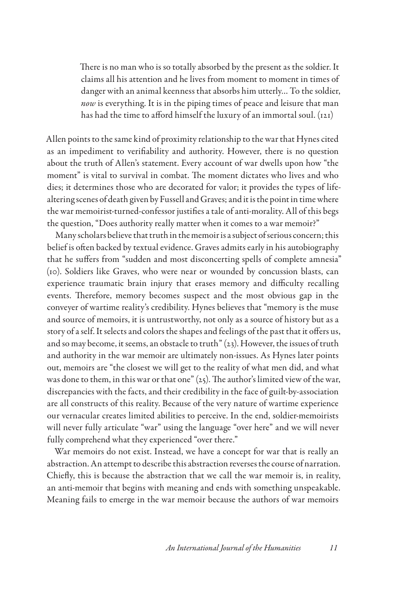There is no man who is so totally absorbed by the present as the soldier. It claims all his attention and he lives from moment to moment in times of danger with an animal keenness that absorbs him utterly… To the soldier, *now* is everything. It is in the piping times of peace and leisure that man has had the time to afford himself the luxury of an immortal soul. (121)

Allen points to the same kind of proximity relationship to the war that Hynes cited as an impediment to verifiability and authority. However, there is no question about the truth of Allen's statement. Every account of war dwells upon how "the moment" is vital to survival in combat. The moment dictates who lives and who dies; it determines those who are decorated for valor; it provides the types of lifealtering scenes of death given by Fussell and Graves; and it is the point in time where the war memoirist-turned-confessor justifies a tale of anti-morality. All of this begs the question, "Does authority really matter when it comes to a war memoir?"

Many scholars believe that truth in the memoir is a subject of serious concern; this belief is often backed by textual evidence. Graves admits early in his autobiography that he suffers from "sudden and most disconcerting spells of complete amnesia" (10). Soldiers like Graves, who were near or wounded by concussion blasts, can experience traumatic brain injury that erases memory and difficulty recalling events. Therefore, memory becomes suspect and the most obvious gap in the conveyer of wartime reality's credibility. Hynes believes that "memory is the muse and source of memoirs, it is untrustworthy, not only as a source of history but as a story of a self. It selects and colors the shapes and feelings of the past that it offers us, and so may become, it seems, an obstacle to truth"  $(z_3)$ . However, the issues of truth and authority in the war memoir are ultimately non-issues. As Hynes later points out, memoirs are "the closest we will get to the reality of what men did, and what was done to them, in this war or that one" (25). The author's limited view of the war, discrepancies with the facts, and their credibility in the face of guilt-by-association are all constructs of this reality. Because of the very nature of wartime experience our vernacular creates limited abilities to perceive. In the end, soldier-memoirists will never fully articulate "war" using the language "over here" and we will never fully comprehend what they experienced "over there."

War memoirs do not exist. Instead, we have a concept for war that is really an abstraction. An attempt to describe this abstraction reverses the course of narration. Chiefly, this is because the abstraction that we call the war memoir is, in reality, an anti-memoir that begins with meaning and ends with something unspeakable. Meaning fails to emerge in the war memoir because the authors of war memoirs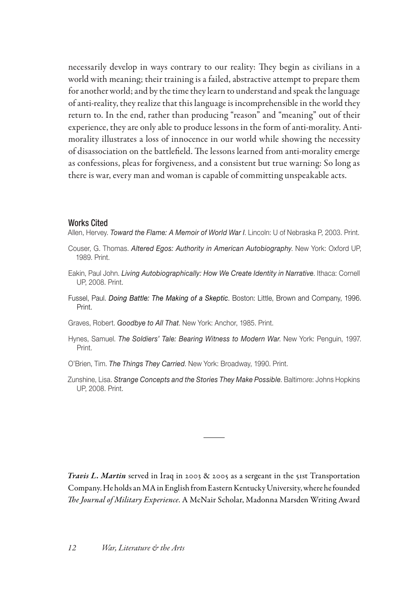necessarily develop in ways contrary to our reality: They begin as civilians in a world with meaning; their training is a failed, abstractive attempt to prepare them for another world; and by the time they learn to understand and speak the language of anti-reality, they realize that this language is incomprehensible in the world they return to. In the end, rather than producing "reason" and "meaning" out of their experience, they are only able to produce lessons in the form of anti-morality. Antimorality illustrates a loss of innocence in our world while showing the necessity of disassociation on the battlefield. The lessons learned from anti-morality emerge as confessions, pleas for forgiveness, and a consistent but true warning: So long as there is war, every man and woman is capable of committing unspeakable acts.

## Works Cited

Allen, Hervey. *Toward the Flame: A Memoir of World War I*. Lincoln: U of Nebraska P, 2003. Print.

- Couser, G. Thomas. *Altered Egos: Authority in American Autobiography*. New York: Oxford UP, 1989. Print.
- Eakin, Paul John. *Living Autobiographically: How We Create Identity in Narrative*. Ithaca: Cornell UP, 2008. Print.
- Fussel, Paul. *Doing Battle: The Making of a Skeptic*. Boston: Little, Brown and Company, 1996. Print.

Graves, Robert. *Goodbye to All That*. New York: Anchor, 1985. Print.

- Hynes, Samuel. *The Soldiers' Tale: Bearing Witness to Modern War*. New York: Penguin, 1997. Print.
- O'Brien, Tim. *The Things They Carried*. New York: Broadway, 1990. Print.
- Zunshine, Lisa. *Strange Concepts and the Stories They Make Possible*. Baltimore: Johns Hopkins UP, 2008. Print.

*Travis L. Martin* served in Iraq in 2003 & 2005 as a sergeant in the 51st Transportation Company. He holds an MA in English from Eastern Kentucky University, where he founded *The Journal of Military Experience*. A McNair Scholar, Madonna Marsden Writing Award